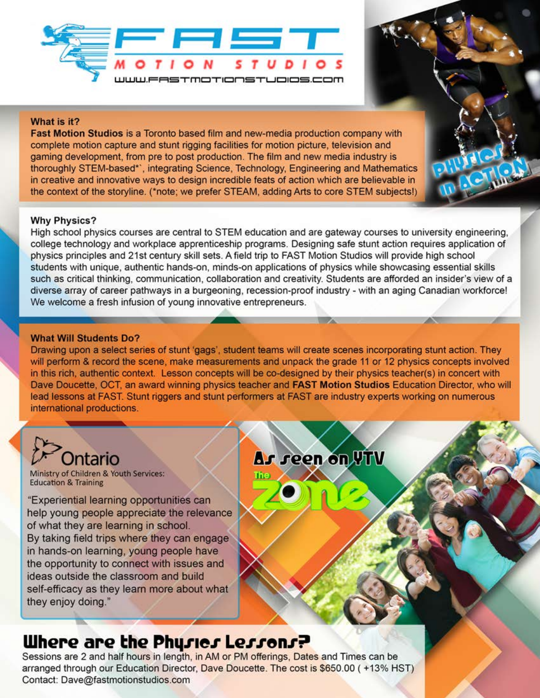

#### What is it?

Fast Motion Studios is a Toronto based film and new-media production company with complete motion capture and stunt rigging facilities for motion picture, television and gaming development, from pre to post production. The film and new media industry is thoroughly STEM-based\*', integrating Science, Technology, Engineering and Mathematics in creative and innovative ways to design incredible feats of action which are believable in the context of the storyline. (\*note; we prefer STEAM, adding Arts to core STEM subjects!)

#### **Why Physics?**

High school physics courses are central to STEM education and are gateway courses to university engineering, college technology and workplace apprenticeship programs. Designing safe stunt action requires application of physics principles and 21st century skill sets. A field trip to FAST Motion Studios will provide high school students with unique, authentic hands-on, minds-on applications of physics while showcasing essential skills such as critical thinking, communication, collaboration and creativity. Students are afforded an insider's view of a diverse array of career pathways in a burgeoning, recession-proof industry - with an aging Canadian workforce! We welcome a fresh infusion of young innovative entrepreneurs.

#### **What Will Students Do?**

Drawing upon a select series of stunt 'gags', student teams will create scenes incorporating stunt action. They will perform & record the scene, make measurements and unpack the grade 11 or 12 physics concepts involved in this rich, authentic context. Lesson concepts will be co-designed by their physics teacher(s) in concert with Dave Doucette, OCT, an award winning physics teacher and FAST Motion Studios Education Director, who will lead lessons at FAST. Stunt riggers and stunt performers at FAST are industry experts working on numerous international productions.

# **Intario**

Ministry of Children & Youth Services: **Education & Training** 

"Experiential learning opportunities can help young people appreciate the relevance of what they are learning in school. By taking field trips where they can engage in hands-on learning, young people have the opportunity to connect with issues and ideas outside the classroom and build self-efficacy as they learn more about what they enjoy doing."

## As seen on VTV

## Where are the Physics Lessons?

Sessions are 2 and half hours in length, in AM or PM offerings, Dates and Times can be arranged through our Education Director, Dave Doucette. The cost is \$650.00 (+13% HST) Contact: Dave@fastmotionstudios.com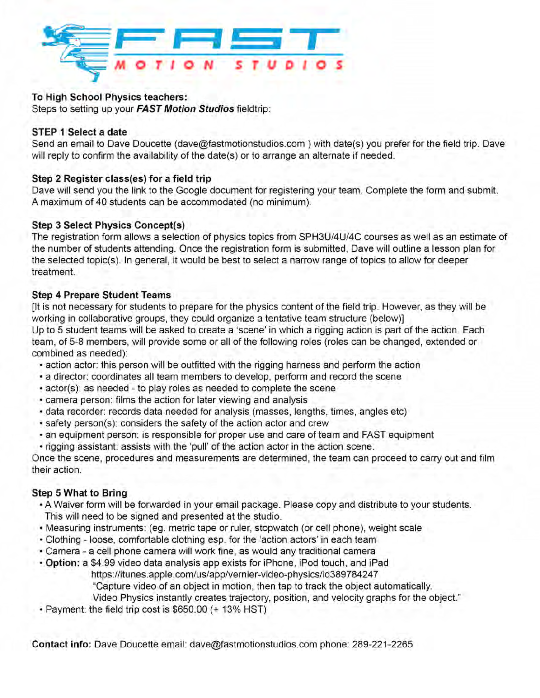

#### To High School Physics teachers:

Steps to setting up your FAST Motion Studios fieldtrip:

#### STEP 1 Select a date

Send an email to Dave Doucette (dave@fastmotionstudios.com) with date(s) you prefer for the field trip. Dave will reply to confirm the availability of the date(s) or to arrange an alternate if needed.

#### Step 2 Register class(es) for a field trip

Dave will send you the link to the Google document for registering your team. Complete the form and submit. A maximum of 40 students can be accommodated (no minimum).

#### **Step 3 Select Physics Concept(s)**

The registration form allows a selection of physics topics from SPH3U/4U/4C courses as well as an estimate of the number of students attending. Once the registration form is submitted. Dave will outline a lesson plan for the selected topic(s). In general, it would be best to select a narrow range of topics to allow for deeper treatment.

#### **Step 4 Prepare Student Teams**

It is not necessary for students to prepare for the physics content of the field trip. However, as they will be working in collaborative groups, they could organize a tentative team structure (below)] Up to 5 student teams will be asked to create a 'scene' in which a rigging action is part of the action. Each team, of 5-8 members, will provide some or all of the following roles (roles can be changed, extended or combined as needed):

- action actor: this person will be outfitted with the rigging harness and perform the action
- a director: coordinates all team members to develop, perform and record the scene
- · actor(s): as needed to play roles as needed to complete the scene
- . camera person: films the action for later viewing and analysis
- · data recorder: records data needed for analysis (masses, lengths, times, angles etc)
- · safety person(s): considers the safety of the action actor and crew
- an equipment person: is responsible for proper use and care of team and FAST equipment
- · rigging assistant: assists with the 'pull' of the action actor in the action scene.

Once the scene, procedures and measurements are determined, the team can proceed to carry out and film their action.

#### Step 5 What to Bring

- . A Waiver form will be forwarded in your email package. Please copy and distribute to your students. This will need to be signed and presented at the studio.
- Measuring instruments: (eg. metric tape or ruler, stopwatch (or cell phone), weight scale
- Clothing loose, comfortable clothing esp. for the 'action actors' in each team
- Camera a cell phone camera will work fine, as would any traditional camera
- Option: a \$4.99 video data analysis app exists for iPhone, iPod touch, and iPad

https://itunes.apple.com/us/app/vernier-video-physics/id389784247 "Capture video of an object in motion, then tap to track the object automatically.

Video Physics instantly creates trajectory, position, and velocity graphs for the object."

. Payment: the field trip cost is \$650.00 (+ 13% HST)

Contact info: Dave Doucette email: dave@fastmotionstudios.com phone: 289-221-2265